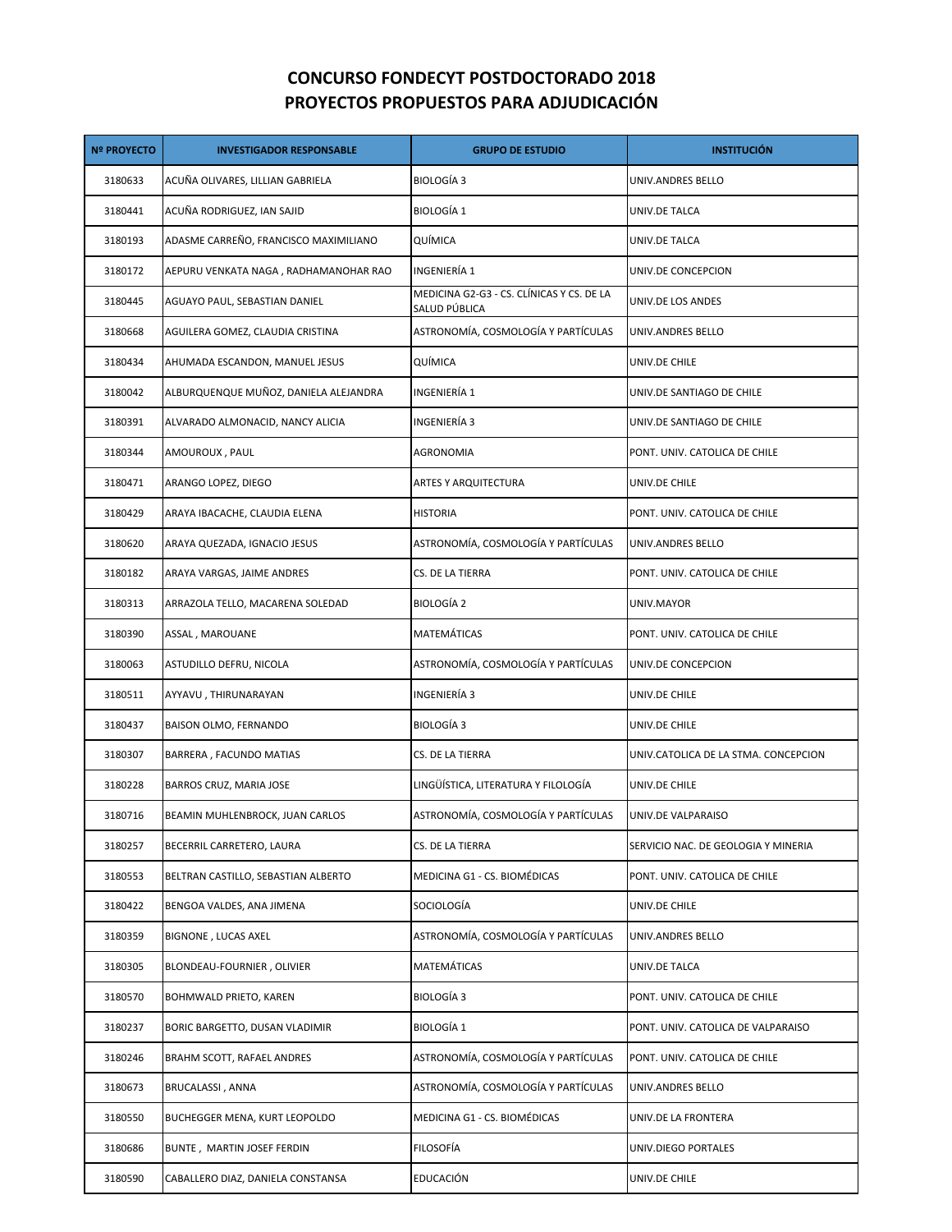## **CONCURSO FONDECYT POSTDOCTORADO 2018 PROYECTOS PROPUESTOS PARA ADJUDICACIÓN**

| <b>Nº PROYECTO</b> | <b>INVESTIGADOR RESPONSABLE</b>       | <b>GRUPO DE ESTUDIO</b>                                    | <b>INSTITUCIÓN</b>                   |
|--------------------|---------------------------------------|------------------------------------------------------------|--------------------------------------|
| 3180633            | ACUÑA OLIVARES, LILLIAN GABRIELA      | BIOLOGÍA 3                                                 | UNIV.ANDRES BELLO                    |
| 3180441            | ACUÑA RODRIGUEZ, IAN SAJID            | BIOLOGÍA 1                                                 | UNIV.DE TALCA                        |
| 3180193            | ADASME CARREÑO, FRANCISCO MAXIMILIANO | QUÍMICA                                                    | UNIV.DE TALCA                        |
| 3180172            | AEPURU VENKATA NAGA, RADHAMANOHAR RAO | INGENIERÍA 1                                               | UNIV.DE CONCEPCION                   |
| 3180445            | AGUAYO PAUL, SEBASTIAN DANIEL         | MEDICINA G2-G3 - CS. CLÍNICAS Y CS. DE LA<br>SALUD PÚBLICA | UNIV.DE LOS ANDES                    |
| 3180668            | AGUILERA GOMEZ, CLAUDIA CRISTINA      | ASTRONOMÍA, COSMOLOGÍA Y PARTÍCULAS                        | UNIV.ANDRES BELLO                    |
| 3180434            | AHUMADA ESCANDON, MANUEL JESUS        | QUÍMICA                                                    | UNIV.DE CHILE                        |
| 3180042            | ALBURQUENQUE MUÑOZ, DANIELA ALEJANDRA | INGENIERÍA 1                                               | UNIV.DE SANTIAGO DE CHILE            |
| 3180391            | ALVARADO ALMONACID, NANCY ALICIA      | INGENIERÍA 3                                               | UNIV.DE SANTIAGO DE CHILE            |
| 3180344            | AMOUROUX , PAUL                       | AGRONOMIA                                                  | PONT. UNIV. CATOLICA DE CHILE        |
| 3180471            | ARANGO LOPEZ, DIEGO                   | ARTES Y ARQUITECTURA                                       | UNIV.DE CHILE                        |
| 3180429            | ARAYA IBACACHE, CLAUDIA ELENA         | <b>HISTORIA</b>                                            | PONT. UNIV. CATOLICA DE CHILE        |
| 3180620            | ARAYA QUEZADA, IGNACIO JESUS          | ASTRONOMÍA, COSMOLOGÍA Y PARTÍCULAS                        | UNIV.ANDRES BELLO                    |
| 3180182            | ARAYA VARGAS, JAIME ANDRES            | CS. DE LA TIERRA                                           | PONT. UNIV. CATOLICA DE CHILE        |
| 3180313            | ARRAZOLA TELLO, MACARENA SOLEDAD      | BIOLOGÍA 2                                                 | UNIV.MAYOR                           |
| 3180390            | ASSAL, MAROUANE                       | MATEMÁTICAS                                                | PONT. UNIV. CATOLICA DE CHILE        |
| 3180063            | ASTUDILLO DEFRU, NICOLA               | ASTRONOMÍA, COSMOLOGÍA Y PARTÍCULAS                        | UNIV.DE CONCEPCION                   |
| 3180511            | AYYAVU , THIRUNARAYAN                 | INGENIERÍA 3                                               | UNIV.DE CHILE                        |
| 3180437            | BAISON OLMO, FERNANDO                 | BIOLOGÍA 3                                                 | UNIV.DE CHILE                        |
| 3180307            | BARRERA, FACUNDO MATIAS               | CS. DE LA TIERRA                                           | UNIV.CATOLICA DE LA STMA. CONCEPCION |
| 3180228            | BARROS CRUZ, MARIA JOSE               | LINGÜÍSTICA, LITERATURA Y FILOLOGÍA                        | UNIV.DE CHILE                        |
| 3180716            | BEAMIN MUHLENBROCK, JUAN CARLOS       | ASTRONOMÍA, COSMOLOGÍA Y PARTÍCULAS                        | UNIV.DE VALPARAISO                   |
| 3180257            | BECERRIL CARRETERO, LAURA             | CS. DE LA TIERRA                                           | SERVICIO NAC. DE GEOLOGIA Y MINERIA  |
| 3180553            | BELTRAN CASTILLO, SEBASTIAN ALBERTO   | MEDICINA G1 - CS. BIOMÉDICAS                               | PONT. UNIV. CATOLICA DE CHILE        |
| 3180422            | BENGOA VALDES, ANA JIMENA             | SOCIOLOGÍA                                                 | UNIV.DE CHILE                        |
| 3180359            | BIGNONE, LUCAS AXEL                   | ASTRONOMÍA, COSMOLOGÍA Y PARTÍCULAS                        | UNIV.ANDRES BELLO                    |
| 3180305            | BLONDEAU-FOURNIER, OLIVIER            | MATEMÁTICAS                                                | UNIV.DE TALCA                        |
| 3180570            | BOHMWALD PRIETO, KAREN                | BIOLOGÍA 3                                                 | PONT. UNIV. CATOLICA DE CHILE        |
| 3180237            | BORIC BARGETTO, DUSAN VLADIMIR        | <b>BIOLOGÍA 1</b>                                          | PONT. UNIV. CATOLICA DE VALPARAISO   |
| 3180246            | BRAHM SCOTT, RAFAEL ANDRES            | ASTRONOMÍA, COSMOLOGÍA Y PARTÍCULAS                        | PONT. UNIV. CATOLICA DE CHILE        |
| 3180673            | BRUCALASSI , ANNA                     | ASTRONOMÍA, COSMOLOGÍA Y PARTÍCULAS                        | UNIV.ANDRES BELLO                    |
| 3180550            | BUCHEGGER MENA, KURT LEOPOLDO         | MEDICINA G1 - CS. BIOMÉDICAS                               | UNIV.DE LA FRONTERA                  |
| 3180686            | BUNTE, MARTIN JOSEF FERDIN            | FILOSOFÍA                                                  | UNIV.DIEGO PORTALES                  |
| 3180590            | CABALLERO DIAZ, DANIELA CONSTANSA     | EDUCACIÓN                                                  | UNIV.DE CHILE                        |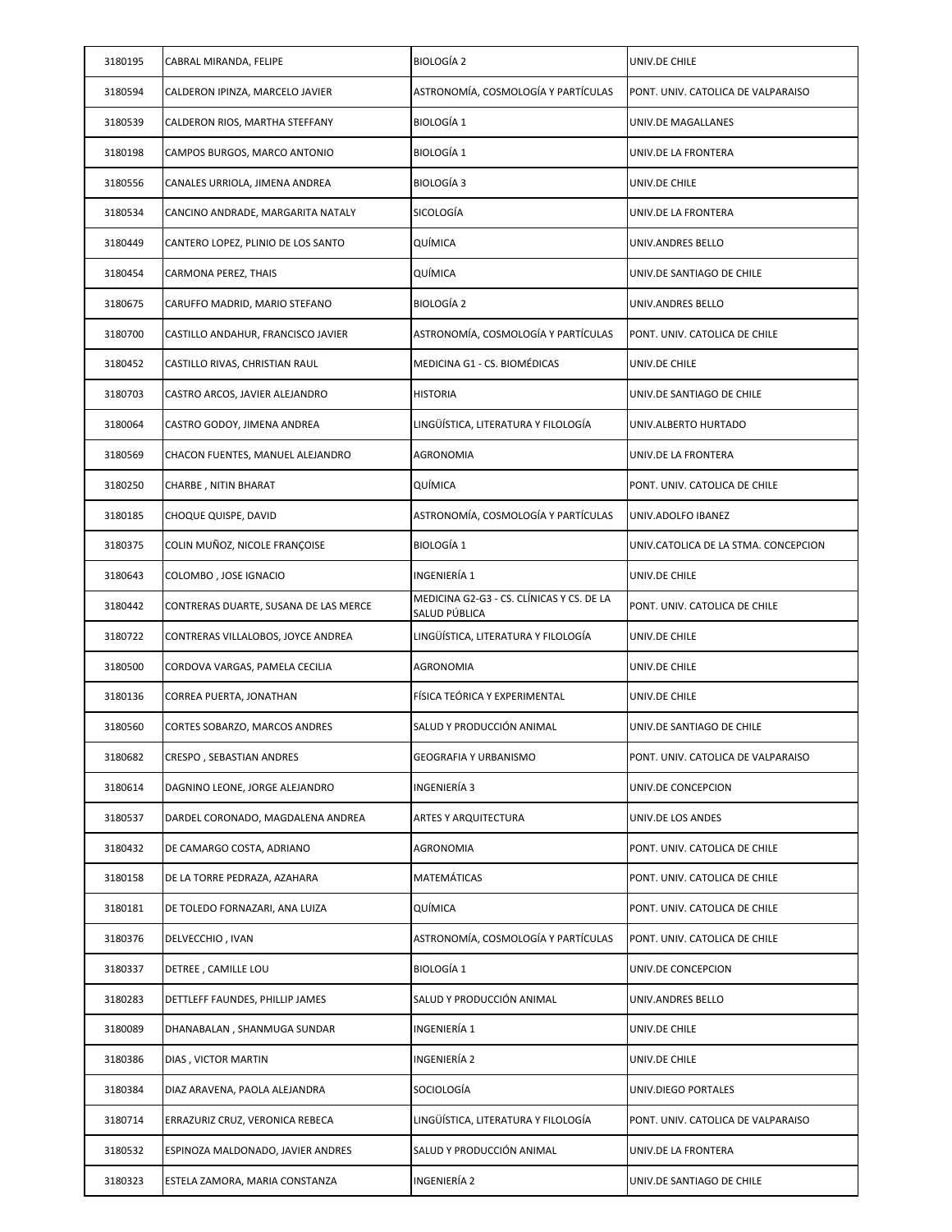| 3180195 | CABRAL MIRANDA, FELIPE                | <b>BIOLOGÍA 2</b>                                          | UNIV.DE CHILE                        |
|---------|---------------------------------------|------------------------------------------------------------|--------------------------------------|
| 3180594 | CALDERON IPINZA, MARCELO JAVIER       | ASTRONOMÍA, COSMOLOGÍA Y PARTÍCULAS                        | PONT. UNIV. CATOLICA DE VALPARAISO   |
| 3180539 | CALDERON RIOS, MARTHA STEFFANY        | <b>BIOLOGÍA 1</b>                                          | UNIV.DE MAGALLANES                   |
| 3180198 | CAMPOS BURGOS, MARCO ANTONIO          | <b>BIOLOGÍA 1</b>                                          | UNIV.DE LA FRONTERA                  |
| 3180556 | CANALES URRIOLA, JIMENA ANDREA        | BIOLOGÍA 3                                                 | UNIV.DE CHILE                        |
| 3180534 | CANCINO ANDRADE, MARGARITA NATALY     | SICOLOGÍA                                                  | UNIV.DE LA FRONTERA                  |
| 3180449 | CANTERO LOPEZ, PLINIO DE LOS SANTO    | QUÍMICA                                                    | UNIV.ANDRES BELLO                    |
| 3180454 | CARMONA PEREZ, THAIS                  | QUÍMICA                                                    | UNIV.DE SANTIAGO DE CHILE            |
| 3180675 | CARUFFO MADRID, MARIO STEFANO         | BIOLOGÍA 2                                                 | UNIV.ANDRES BELLO                    |
| 3180700 | CASTILLO ANDAHUR, FRANCISCO JAVIER    | ASTRONOMÍA, COSMOLOGÍA Y PARTÍCULAS                        | PONT. UNIV. CATOLICA DE CHILE        |
| 3180452 | CASTILLO RIVAS, CHRISTIAN RAUL        | MEDICINA G1 - CS. BIOMÉDICAS                               | UNIV.DE CHILE                        |
| 3180703 | CASTRO ARCOS, JAVIER ALEJANDRO        | <b>HISTORIA</b>                                            | UNIV.DE SANTIAGO DE CHILE            |
| 3180064 | CASTRO GODOY, JIMENA ANDREA           | LINGÜÍSTICA, LITERATURA Y FILOLOGÍA                        | UNIV.ALBERTO HURTADO                 |
| 3180569 | CHACON FUENTES, MANUEL ALEJANDRO      | AGRONOMIA                                                  | UNIV.DE LA FRONTERA                  |
| 3180250 | CHARBE , NITIN BHARAT                 | QUÍMICA                                                    | PONT. UNIV. CATOLICA DE CHILE        |
| 3180185 | CHOQUE QUISPE, DAVID                  | ASTRONOMÍA, COSMOLOGÍA Y PARTÍCULAS                        | UNIV.ADOLFO IBANEZ                   |
| 3180375 | COLIN MUÑOZ, NICOLE FRANÇOISE         | <b>BIOLOGÍA 1</b>                                          | UNIV.CATOLICA DE LA STMA. CONCEPCION |
| 3180643 | COLOMBO, JOSE IGNACIO                 | INGENIERÍA 1                                               | UNIV.DE CHILE                        |
| 3180442 | CONTRERAS DUARTE, SUSANA DE LAS MERCE | MEDICINA G2-G3 - CS. CLÍNICAS Y CS. DE LA<br>SALUD PÚBLICA | PONT. UNIV. CATOLICA DE CHILE        |
| 3180722 | CONTRERAS VILLALOBOS, JOYCE ANDREA    | LINGÜÍSTICA, LITERATURA Y FILOLOGÍA                        | UNIV.DE CHILE                        |
| 3180500 | CORDOVA VARGAS, PAMELA CECILIA        | AGRONOMIA                                                  | UNIV.DE CHILE                        |
| 3180136 | CORREA PUERTA, JONATHAN               | FÍSICA TEÓRICA Y EXPERIMENTAL                              | UNIV.DE CHILE                        |
| 3180560 | CORTES SOBARZO, MARCOS ANDRES         | SALUD Y PRODUCCIÓN ANIMAL                                  | UNIV.DE SANTIAGO DE CHILE            |
| 3180682 | CRESPO, SEBASTIAN ANDRES              | GEOGRAFIA Y URBANISMO                                      | PONT. UNIV. CATOLICA DE VALPARAISO   |
| 3180614 | DAGNINO LEONE, JORGE ALEJANDRO        | INGENIERÍA 3                                               | UNIV.DE CONCEPCION                   |
| 3180537 | DARDEL CORONADO, MAGDALENA ANDREA     | <b>ARTES Y ARQUITECTURA</b>                                | UNIV.DE LOS ANDES                    |
| 3180432 | DE CAMARGO COSTA, ADRIANO             | AGRONOMIA                                                  | PONT. UNIV. CATOLICA DE CHILE        |
| 3180158 | DE LA TORRE PEDRAZA, AZAHARA          | MATEMÁTICAS                                                | PONT. UNIV. CATOLICA DE CHILE        |
| 3180181 | DE TOLEDO FORNAZARI, ANA LUIZA        | QUÍMICA                                                    | PONT. UNIV. CATOLICA DE CHILE        |
| 3180376 | DELVECCHIO, IVAN                      | ASTRONOMÍA, COSMOLOGÍA Y PARTÍCULAS                        | PONT. UNIV. CATOLICA DE CHILE        |
| 3180337 | DETREE, CAMILLE LOU                   | BIOLOGÍA 1                                                 | UNIV.DE CONCEPCION                   |
| 3180283 | DETTLEFF FAUNDES, PHILLIP JAMES       | SALUD Y PRODUCCIÓN ANIMAL                                  | UNIV.ANDRES BELLO                    |
| 3180089 | DHANABALAN, SHANMUGA SUNDAR           | INGENIERÍA 1                                               | UNIV.DE CHILE                        |
| 3180386 | DIAS, VICTOR MARTIN                   | INGENIERÍA 2                                               | UNIV.DE CHILE                        |
| 3180384 | DIAZ ARAVENA, PAOLA ALEJANDRA         | SOCIOLOGÍA                                                 | UNIV.DIEGO PORTALES                  |
| 3180714 | ERRAZURIZ CRUZ, VERONICA REBECA       | LINGÜÍSTICA, LITERATURA Y FILOLOGÍA                        | PONT. UNIV. CATOLICA DE VALPARAISO   |
| 3180532 | ESPINOZA MALDONADO, JAVIER ANDRES     | SALUD Y PRODUCCIÓN ANIMAL                                  | UNIV.DE LA FRONTERA                  |
| 3180323 | ESTELA ZAMORA, MARIA CONSTANZA        | INGENIERÍA 2                                               | UNIV.DE SANTIAGO DE CHILE            |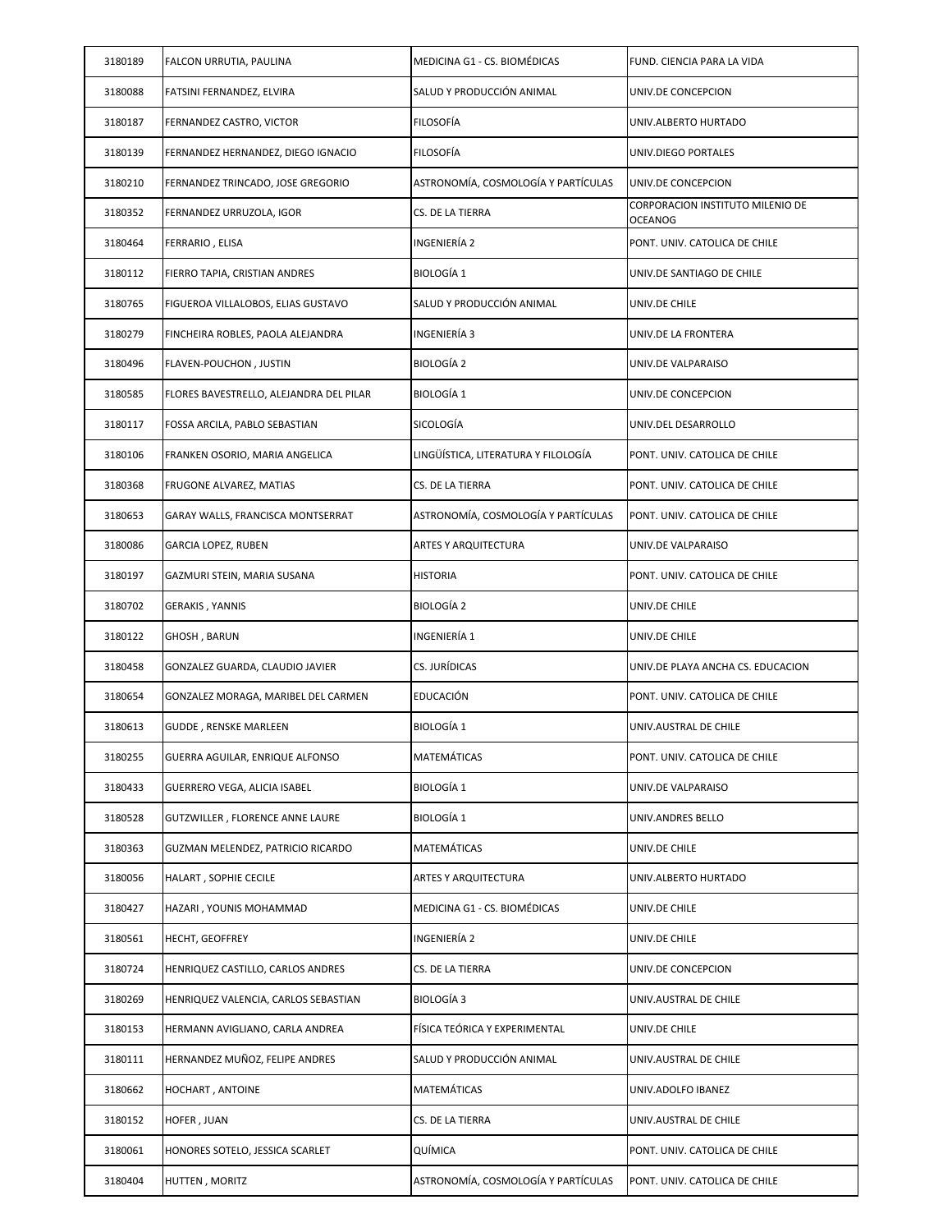| 3180189 | FALCON URRUTIA, PAULINA                 | MEDICINA G1 - CS. BIOMÉDICAS        | FUND. CIENCIA PARA LA VIDA                         |
|---------|-----------------------------------------|-------------------------------------|----------------------------------------------------|
| 3180088 | FATSINI FERNANDEZ, ELVIRA               | SALUD Y PRODUCCIÓN ANIMAL           | UNIV.DE CONCEPCION                                 |
| 3180187 | FERNANDEZ CASTRO, VICTOR                | <b>FILOSOFÍA</b>                    | UNIV.ALBERTO HURTADO                               |
| 3180139 | FERNANDEZ HERNANDEZ, DIEGO IGNACIO      | <b>FILOSOFÍA</b>                    | UNIV.DIEGO PORTALES                                |
| 3180210 | FERNANDEZ TRINCADO, JOSE GREGORIO       | ASTRONOMÍA, COSMOLOGÍA Y PARTÍCULAS | UNIV.DE CONCEPCION                                 |
| 3180352 | FERNANDEZ URRUZOLA, IGOR                | CS. DE LA TIERRA                    | CORPORACION INSTITUTO MILENIO DE<br><b>OCEANOG</b> |
| 3180464 | FERRARIO, ELISA                         | INGENIERÍA 2                        | PONT. UNIV. CATOLICA DE CHILE                      |
| 3180112 | FIERRO TAPIA, CRISTIAN ANDRES           | <b>BIOLOGÍA 1</b>                   | UNIV.DE SANTIAGO DE CHILE                          |
| 3180765 | FIGUEROA VILLALOBOS, ELIAS GUSTAVO      | SALUD Y PRODUCCIÓN ANIMAL           | UNIV.DE CHILE                                      |
| 3180279 | FINCHEIRA ROBLES, PAOLA ALEJANDRA       | INGENIERÍA 3                        | UNIV.DE LA FRONTERA                                |
| 3180496 | FLAVEN-POUCHON, JUSTIN                  | <b>BIOLOGÍA 2</b>                   | UNIV.DE VALPARAISO                                 |
| 3180585 | FLORES BAVESTRELLO, ALEJANDRA DEL PILAR | <b>BIOLOGÍA 1</b>                   | UNIV.DE CONCEPCION                                 |
| 3180117 | FOSSA ARCILA, PABLO SEBASTIAN           | SICOLOGÍA                           | UNIV.DEL DESARROLLO                                |
| 3180106 | FRANKEN OSORIO, MARIA ANGELICA          | LINGÜÍSTICA, LITERATURA Y FILOLOGÍA | PONT. UNIV. CATOLICA DE CHILE                      |
| 3180368 | FRUGONE ALVAREZ, MATIAS                 | CS. DE LA TIERRA                    | PONT. UNIV. CATOLICA DE CHILE                      |
| 3180653 | GARAY WALLS, FRANCISCA MONTSERRAT       | ASTRONOMÍA, COSMOLOGÍA Y PARTÍCULAS | PONT. UNIV. CATOLICA DE CHILE                      |
| 3180086 | GARCIA LOPEZ, RUBEN                     | <b>ARTES Y ARQUITECTURA</b>         | UNIV.DE VALPARAISO                                 |
| 3180197 | GAZMURI STEIN, MARIA SUSANA             | <b>HISTORIA</b>                     | PONT. UNIV. CATOLICA DE CHILE                      |
| 3180702 | GERAKIS , YANNIS                        | <b>BIOLOGÍA 2</b>                   | UNIV.DE CHILE                                      |
|         |                                         |                                     |                                                    |
| 3180122 | GHOSH, BARUN                            | INGENIERÍA 1                        | UNIV.DE CHILE                                      |
| 3180458 | GONZALEZ GUARDA, CLAUDIO JAVIER         | CS. JURÍDICAS                       | UNIV.DE PLAYA ANCHA CS. EDUCACION                  |
| 3180654 | GONZALEZ MORAGA, MARIBEL DEL CARMEN     | EDUCACIÓN                           | PONT. UNIV. CATOLICA DE CHILE                      |
| 3180613 | GUDDE, RENSKE MARLEEN                   | <b>BIOLOGÍA 1</b>                   | UNIV.AUSTRAL DE CHILE                              |
| 3180255 | GUERRA AGUILAR, ENRIQUE ALFONSO         | MATEMÁTICAS                         | PONT. UNIV. CATOLICA DE CHILE                      |
| 3180433 | GUERRERO VEGA, ALICIA ISABEL            | <b>BIOLOGÍA 1</b>                   | UNIV.DE VALPARAISO                                 |
| 3180528 | GUTZWILLER, FLORENCE ANNE LAURE         | <b>BIOLOGÍA 1</b>                   | UNIV.ANDRES BELLO                                  |
| 3180363 | GUZMAN MELENDEZ, PATRICIO RICARDO       | MATEMÁTICAS                         | UNIV.DE CHILE                                      |
| 3180056 | HALART, SOPHIE CECILE                   | ARTES Y ARQUITECTURA                | UNIV.ALBERTO HURTADO                               |
| 3180427 | HAZARI , YOUNIS MOHAMMAD                | MEDICINA G1 - CS. BIOMÉDICAS        | UNIV.DE CHILE                                      |
| 3180561 | HECHT, GEOFFREY                         | INGENIERÍA 2                        | UNIV.DE CHILE                                      |
| 3180724 | HENRIQUEZ CASTILLO, CARLOS ANDRES       | CS. DE LA TIERRA                    | UNIV.DE CONCEPCION                                 |
| 3180269 | HENRIQUEZ VALENCIA, CARLOS SEBASTIAN    | BIOLOGÍA 3                          | UNIV.AUSTRAL DE CHILE                              |
| 3180153 | HERMANN AVIGLIANO, CARLA ANDREA         | FÍSICA TEÓRICA Y EXPERIMENTAL       | UNIV.DE CHILE                                      |
| 3180111 | HERNANDEZ MUÑOZ, FELIPE ANDRES          | SALUD Y PRODUCCIÓN ANIMAL           | UNIV.AUSTRAL DE CHILE                              |
| 3180662 | HOCHART, ANTOINE                        | MATEMÁTICAS                         | UNIV.ADOLFO IBANEZ                                 |
| 3180152 | HOFER, JUAN                             | CS. DE LA TIERRA                    | UNIV.AUSTRAL DE CHILE                              |
| 3180061 | HONORES SOTELO, JESSICA SCARLET         | QUÍMICA                             | PONT. UNIV. CATOLICA DE CHILE                      |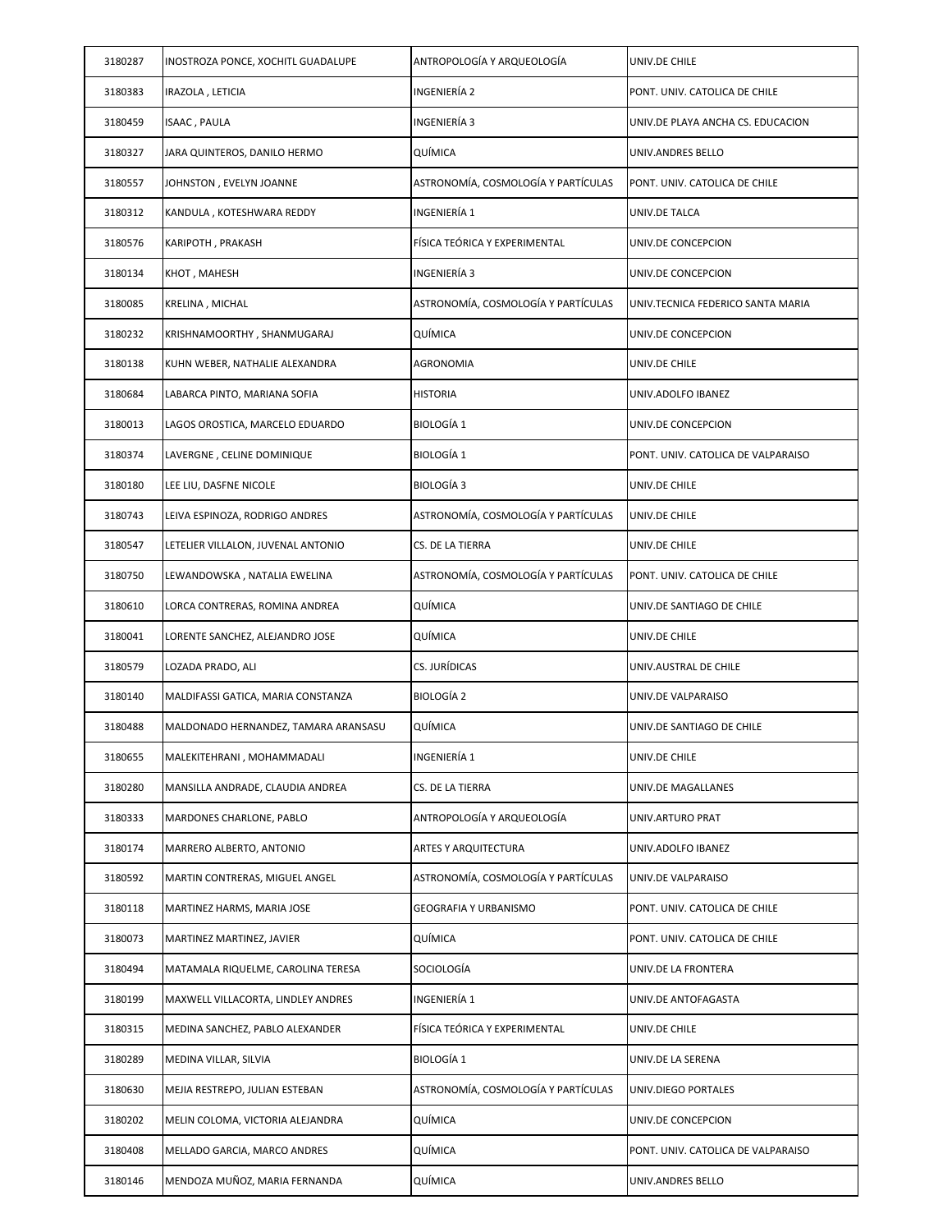| 3180287 | INOSTROZA PONCE, XOCHITL GUADALUPE   | ANTROPOLOGÍA Y ARQUEOLOGÍA          | UNIV.DE CHILE                      |
|---------|--------------------------------------|-------------------------------------|------------------------------------|
| 3180383 | IRAZOLA , LETICIA                    | INGENIERÍA 2                        | PONT. UNIV. CATOLICA DE CHILE      |
| 3180459 | ISAAC , PAULA                        | INGENIERÍA 3                        | UNIV.DE PLAYA ANCHA CS. EDUCACION  |
| 3180327 | JARA QUINTEROS, DANILO HERMO         | QUÍMICA                             | UNIV.ANDRES BELLO                  |
| 3180557 | JOHNSTON , EVELYN JOANNE             | ASTRONOMÍA, COSMOLOGÍA Y PARTÍCULAS | PONT. UNIV. CATOLICA DE CHILE      |
| 3180312 | KANDULA , KOTESHWARA REDDY           | INGENIERÍA 1                        | UNIV.DE TALCA                      |
| 3180576 | KARIPOTH, PRAKASH                    | FÍSICA TEÓRICA Y EXPERIMENTAL       | UNIV.DE CONCEPCION                 |
| 3180134 | КНОТ , МАНЕSH                        | INGENIERÍA 3                        | UNIV.DE CONCEPCION                 |
| 3180085 | KRELINA, MICHAL                      | ASTRONOMÍA, COSMOLOGÍA Y PARTÍCULAS | UNIV.TECNICA FEDERICO SANTA MARIA  |
| 3180232 | KRISHNAMOORTHY , SHANMUGARAJ         | QUÍMICA                             | UNIV.DE CONCEPCION                 |
| 3180138 | KUHN WEBER, NATHALIE ALEXANDRA       | AGRONOMIA                           | UNIV.DE CHILE                      |
| 3180684 | LABARCA PINTO, MARIANA SOFIA         | <b>HISTORIA</b>                     | UNIV.ADOLFO IBANEZ                 |
| 3180013 | LAGOS OROSTICA, MARCELO EDUARDO      | <b>BIOLOGÍA 1</b>                   | UNIV.DE CONCEPCION                 |
| 3180374 | LAVERGNE , CELINE DOMINIQUE          | <b>BIOLOGÍA 1</b>                   | PONT. UNIV. CATOLICA DE VALPARAISO |
| 3180180 | LEE LIU, DASFNE NICOLE               | BIOLOGÍA 3                          | UNIV.DE CHILE                      |
| 3180743 | LEIVA ESPINOZA, RODRIGO ANDRES       | ASTRONOMÍA, COSMOLOGÍA Y PARTÍCULAS | UNIV.DE CHILE                      |
| 3180547 | LETELIER VILLALON, JUVENAL ANTONIO   | CS. DE LA TIERRA                    | UNIV.DE CHILE                      |
| 3180750 | LEWANDOWSKA , NATALIA EWELINA        | ASTRONOMÍA, COSMOLOGÍA Y PARTÍCULAS | PONT. UNIV. CATOLICA DE CHILE      |
| 3180610 | LORCA CONTRERAS, ROMINA ANDREA       | QUÍMICA                             | UNIV.DE SANTIAGO DE CHILE          |
| 3180041 | LORENTE SANCHEZ, ALEJANDRO JOSE      | QUÍMICA                             | UNIV.DE CHILE                      |
| 3180579 | LOZADA PRADO, ALI                    | CS. JURÍDICAS                       | UNIV.AUSTRAL DE CHILE              |
| 3180140 | MALDIFASSI GATICA, MARIA CONSTANZA   | <b>BIOLOGÍA 2</b>                   | UNIV.DE VALPARAISO                 |
| 3180488 | MALDONADO HERNANDEZ, TAMARA ARANSASU | QUÍMICA                             | UNIV.DE SANTIAGO DE CHILE          |
| 3180655 | MALEKITEHRANI, MOHAMMADALI           | INGENIERÍA 1                        | UNIV.DE CHILE                      |
| 3180280 | MANSILLA ANDRADE, CLAUDIA ANDREA     | CS. DE LA TIERRA                    | UNIV.DE MAGALLANES                 |
| 3180333 | MARDONES CHARLONE, PABLO             | ANTROPOLOGÍA Y ARQUEOLOGÍA          | UNIV.ARTURO PRAT                   |
| 3180174 | MARRERO ALBERTO, ANTONIO             | ARTES Y ARQUITECTURA                | UNIV.ADOLFO IBANEZ                 |
| 3180592 | MARTIN CONTRERAS, MIGUEL ANGEL       | ASTRONOMÍA, COSMOLOGÍA Y PARTÍCULAS | UNIV.DE VALPARAISO                 |
| 3180118 | MARTINEZ HARMS, MARIA JOSE           | GEOGRAFIA Y URBANISMO               | PONT. UNIV. CATOLICA DE CHILE      |
| 3180073 | MARTINEZ MARTINEZ, JAVIER            | QUÍMICA                             | PONT. UNIV. CATOLICA DE CHILE      |
| 3180494 | MATAMALA RIQUELME, CAROLINA TERESA   | SOCIOLOGÍA                          | UNIV.DE LA FRONTERA                |
| 3180199 | MAXWELL VILLACORTA, LINDLEY ANDRES   | INGENIERÍA 1                        | UNIV.DE ANTOFAGASTA                |
| 3180315 | MEDINA SANCHEZ, PABLO ALEXANDER      | FÍSICA TEÓRICA Y EXPERIMENTAL       | UNIV.DE CHILE                      |
| 3180289 | MEDINA VILLAR, SILVIA                | <b>BIOLOGÍA 1</b>                   | UNIV.DE LA SERENA                  |
| 3180630 | MEJIA RESTREPO, JULIAN ESTEBAN       | ASTRONOMÍA, COSMOLOGÍA Y PARTÍCULAS | UNIV.DIEGO PORTALES                |
| 3180202 | MELIN COLOMA, VICTORIA ALEJANDRA     | QUÍMICA                             | UNIV.DE CONCEPCION                 |
| 3180408 | MELLADO GARCIA, MARCO ANDRES         | QUÍMICA                             | PONT. UNIV. CATOLICA DE VALPARAISO |
| 3180146 | MENDOZA MUÑOZ, MARIA FERNANDA        | QUÍMICA                             | UNIV.ANDRES BELLO                  |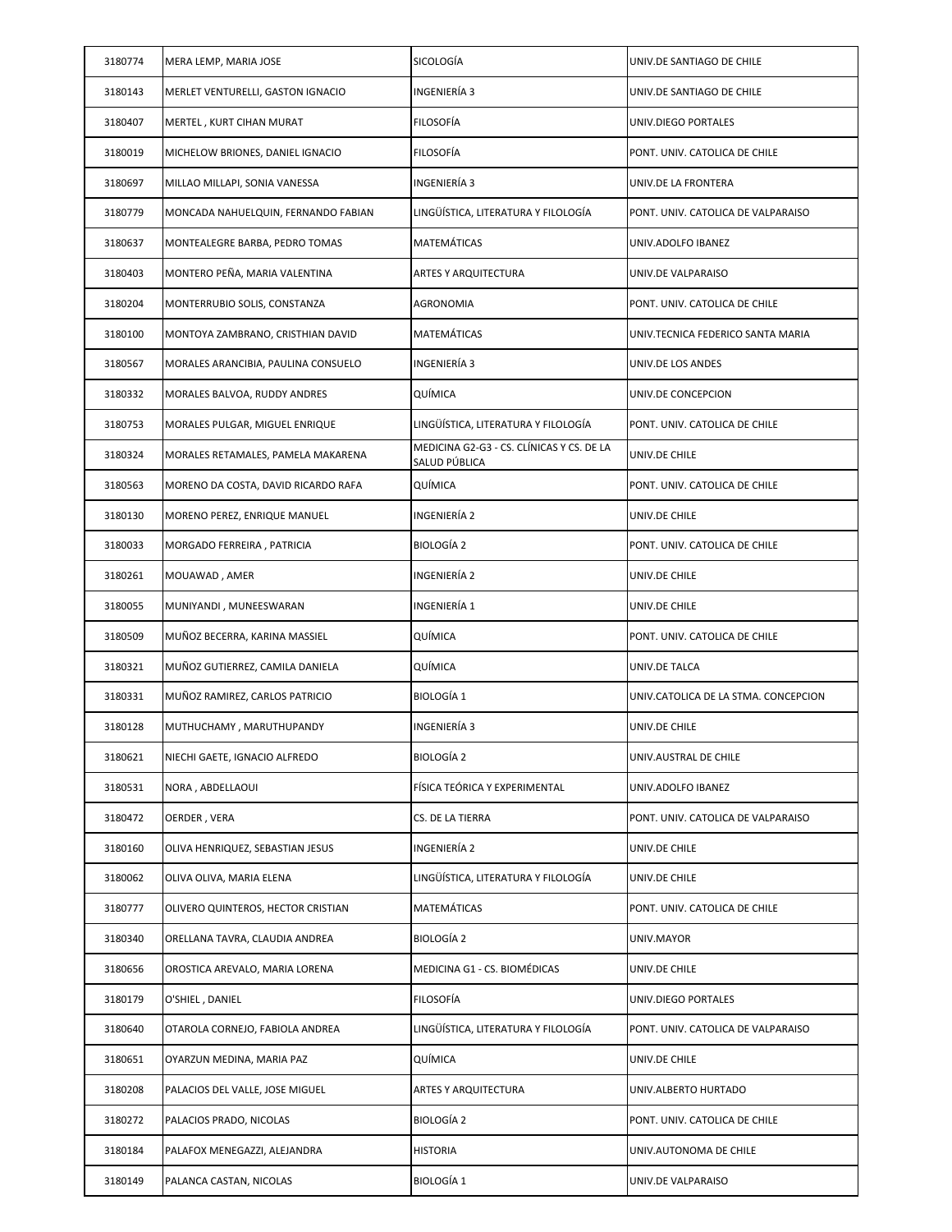| 3180774 | MERA LEMP, MARIA JOSE               | SICOLOGÍA                                                  | UNIV.DE SANTIAGO DE CHILE            |
|---------|-------------------------------------|------------------------------------------------------------|--------------------------------------|
| 3180143 | MERLET VENTURELLI, GASTON IGNACIO   | INGENIERÍA 3                                               | UNIV.DE SANTIAGO DE CHILE            |
| 3180407 | MERTEL, KURT CIHAN MURAT            | FILOSOFÍA                                                  | UNIV.DIEGO PORTALES                  |
| 3180019 | MICHELOW BRIONES, DANIEL IGNACIO    | FILOSOFÍA                                                  | PONT. UNIV. CATOLICA DE CHILE        |
| 3180697 | MILLAO MILLAPI, SONIA VANESSA       | INGENIERÍA 3                                               | UNIV.DE LA FRONTERA                  |
| 3180779 | MONCADA NAHUELQUIN, FERNANDO FABIAN | LINGÜÍSTICA, LITERATURA Y FILOLOGÍA                        | PONT. UNIV. CATOLICA DE VALPARAISO   |
| 3180637 | MONTEALEGRE BARBA, PEDRO TOMAS      | MATEMÁTICAS                                                | UNIV.ADOLFO IBANEZ                   |
| 3180403 | MONTERO PEÑA, MARIA VALENTINA       | ARTES Y ARQUITECTURA                                       | UNIV.DE VALPARAISO                   |
| 3180204 | MONTERRUBIO SOLIS, CONSTANZA        | AGRONOMIA                                                  | PONT. UNIV. CATOLICA DE CHILE        |
| 3180100 | MONTOYA ZAMBRANO, CRISTHIAN DAVID   | MATEMÁTICAS                                                | UNIV.TECNICA FEDERICO SANTA MARIA    |
| 3180567 | MORALES ARANCIBIA, PAULINA CONSUELO | INGENIERÍA 3                                               | UNIV.DE LOS ANDES                    |
| 3180332 | MORALES BALVOA, RUDDY ANDRES        | QUÍMICA                                                    | UNIV.DE CONCEPCION                   |
| 3180753 | MORALES PULGAR, MIGUEL ENRIQUE      | LINGÜÍSTICA, LITERATURA Y FILOLOGÍA                        | PONT. UNIV. CATOLICA DE CHILE        |
| 3180324 | MORALES RETAMALES, PAMELA MAKARENA  | MEDICINA G2-G3 - CS. CLÍNICAS Y CS. DE LA<br>SALUD PÚBLICA | UNIV.DE CHILE                        |
| 3180563 | MORENO DA COSTA, DAVID RICARDO RAFA | QUÍMICA                                                    | PONT. UNIV. CATOLICA DE CHILE        |
| 3180130 | MORENO PEREZ, ENRIQUE MANUEL        | INGENIERÍA 2                                               | UNIV.DE CHILE                        |
| 3180033 | MORGADO FERREIRA, PATRICIA          | BIOLOGÍA 2                                                 | PONT. UNIV. CATOLICA DE CHILE        |
| 3180261 | MOUAWAD, AMER                       | INGENIERÍA 2                                               | UNIV.DE CHILE                        |
| 3180055 | MUNIYANDI, MUNEESWARAN              | INGENIERÍA 1                                               | UNIV.DE CHILE                        |
| 3180509 | MUÑOZ BECERRA, KARINA MASSIEL       | QUÍMICA                                                    | PONT. UNIV. CATOLICA DE CHILE        |
| 3180321 | MUÑOZ GUTIERREZ, CAMILA DANIELA     | QUÍMICA                                                    | UNIV.DE TALCA                        |
| 3180331 | MUÑOZ RAMIREZ, CARLOS PATRICIO      | <b>BIOLOGÍA 1</b>                                          | UNIV.CATOLICA DE LA STMA. CONCEPCION |
| 3180128 | MUTHUCHAMY, MARUTHUPANDY            | INGENIERÍA 3                                               | UNIV.DE CHILE                        |
| 3180621 | NIECHI GAETE, IGNACIO ALFREDO       | BIOLOGÍA 2                                                 | UNIV.AUSTRAL DE CHILE                |
| 3180531 | NORA, ABDELLAOUI                    | FÍSICA TEÓRICA Y EXPERIMENTAL                              | UNIV.ADOLFO IBANEZ                   |
| 3180472 | OERDER, VERA                        | CS. DE LA TIERRA                                           | PONT. UNIV. CATOLICA DE VALPARAISO   |
| 3180160 | OLIVA HENRIQUEZ, SEBASTIAN JESUS    | INGENIERÍA 2                                               | UNIV.DE CHILE                        |
| 3180062 | OLIVA OLIVA, MARIA ELENA            | LINGÜÍSTICA, LITERATURA Y FILOLOGÍA                        | UNIV.DE CHILE                        |
| 3180777 | OLIVERO QUINTEROS, HECTOR CRISTIAN  | MATEMÁTICAS                                                | PONT. UNIV. CATOLICA DE CHILE        |
| 3180340 | ORELLANA TAVRA, CLAUDIA ANDREA      | BIOLOGÍA 2                                                 | UNIV.MAYOR                           |
| 3180656 | OROSTICA AREVALO, MARIA LORENA      | MEDICINA G1 - CS. BIOMÉDICAS                               | UNIV.DE CHILE                        |
| 3180179 | O'SHIEL, DANIEL                     | FILOSOFÍA                                                  | UNIV.DIEGO PORTALES                  |
| 3180640 | OTAROLA CORNEJO, FABIOLA ANDREA     | LINGÜÍSTICA, LITERATURA Y FILOLOGÍA                        | PONT. UNIV. CATOLICA DE VALPARAISO   |
| 3180651 | OYARZUN MEDINA, MARIA PAZ           | QUÍMICA                                                    | UNIV.DE CHILE                        |
| 3180208 | PALACIOS DEL VALLE, JOSE MIGUEL     | ARTES Y ARQUITECTURA                                       | UNIV.ALBERTO HURTADO                 |
| 3180272 | PALACIOS PRADO, NICOLAS             | BIOLOGÍA 2                                                 | PONT. UNIV. CATOLICA DE CHILE        |
| 3180184 | PALAFOX MENEGAZZI, ALEJANDRA        | <b>HISTORIA</b>                                            | UNIV.AUTONOMA DE CHILE               |
| 3180149 | PALANCA CASTAN, NICOLAS             | BIOLOGÍA 1                                                 | UNIV.DE VALPARAISO                   |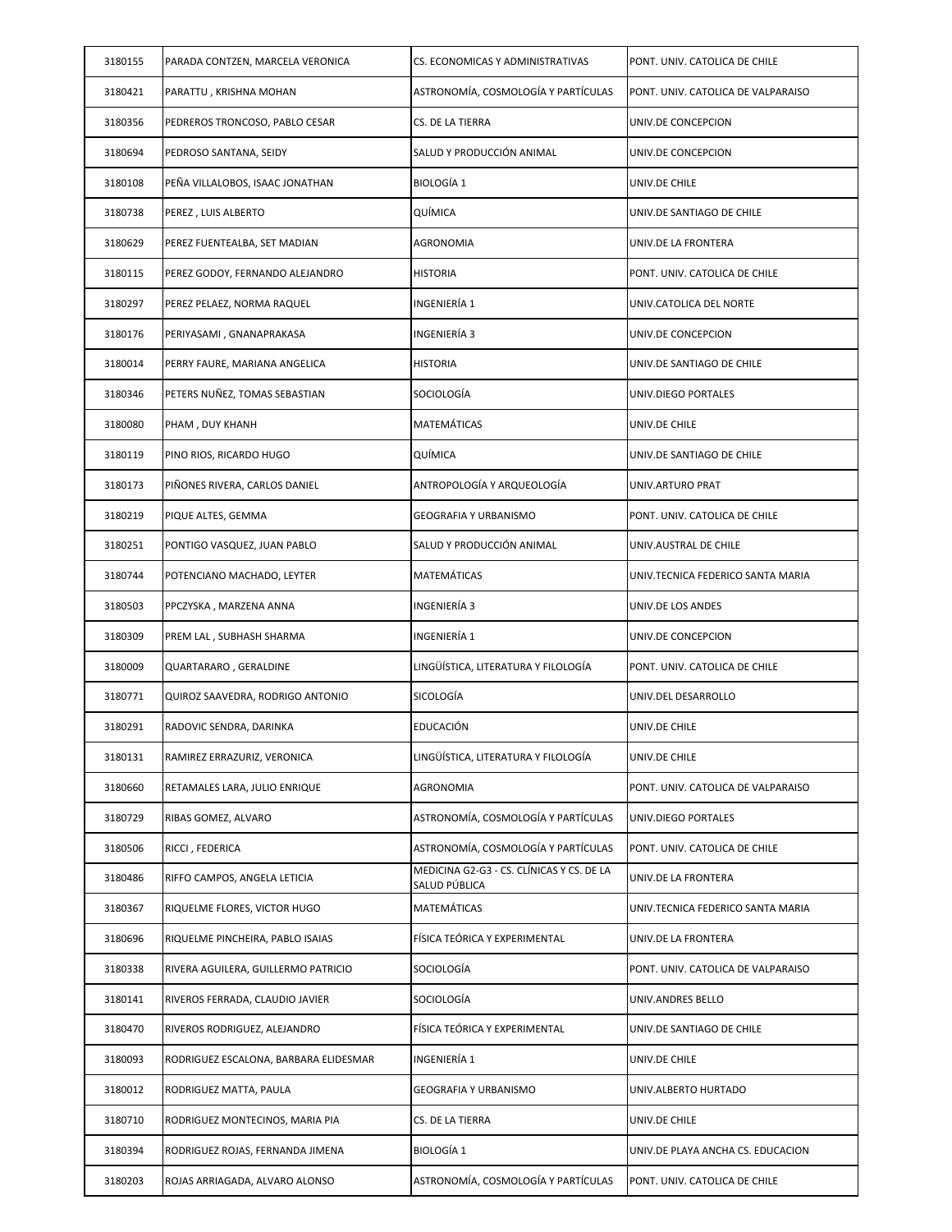| 3180155 | PARADA CONTZEN, MARCELA VERONICA      | CS. ECONOMICAS Y ADMINISTRATIVAS                           | PONT. UNIV. CATOLICA DE CHILE      |
|---------|---------------------------------------|------------------------------------------------------------|------------------------------------|
| 3180421 | PARATTU, KRISHNA MOHAN                | ASTRONOMÍA, COSMOLOGÍA Y PARTÍCULAS                        | PONT. UNIV. CATOLICA DE VALPARAISO |
| 3180356 | PEDREROS TRONCOSO, PABLO CESAR        | CS. DE LA TIERRA                                           | UNIV.DE CONCEPCION                 |
| 3180694 | PEDROSO SANTANA, SEIDY                | SALUD Y PRODUCCIÓN ANIMAL                                  | UNIV.DE CONCEPCION                 |
| 3180108 | PEÑA VILLALOBOS, ISAAC JONATHAN       | <b>BIOLOGÍA 1</b>                                          | UNIV.DE CHILE                      |
| 3180738 | PEREZ, LUIS ALBERTO                   | QUÍMICA                                                    | UNIV.DE SANTIAGO DE CHILE          |
| 3180629 | PEREZ FUENTEALBA, SET MADIAN          | AGRONOMIA                                                  | UNIV.DE LA FRONTERA                |
| 3180115 | PEREZ GODOY, FERNANDO ALEJANDRO       | <b>HISTORIA</b>                                            | PONT. UNIV. CATOLICA DE CHILE      |
| 3180297 | PEREZ PELAEZ, NORMA RAQUEL            | INGENIERÍA 1                                               | UNIV.CATOLICA DEL NORTE            |
| 3180176 | PERIYASAMI, GNANAPRAKASA              | INGENIERÍA 3                                               | UNIV.DE CONCEPCION                 |
| 3180014 | PERRY FAURE, MARIANA ANGELICA         | HISTORIA                                                   | UNIV.DE SANTIAGO DE CHILE          |
| 3180346 | PETERS NUÑEZ, TOMAS SEBASTIAN         | SOCIOLOGÍA                                                 | UNIV.DIEGO PORTALES                |
| 3180080 | PHAM, DUY KHANH                       | MATEMÁTICAS                                                | UNIV.DE CHILE                      |
| 3180119 | PINO RIOS, RICARDO HUGO               | QUÍMICA                                                    | UNIV.DE SANTIAGO DE CHILE          |
| 3180173 | PIÑONES RIVERA, CARLOS DANIEL         | ANTROPOLOGÍA Y ARQUEOLOGÍA                                 | UNIV.ARTURO PRAT                   |
| 3180219 | PIQUE ALTES, GEMMA                    | GEOGRAFIA Y URBANISMO                                      | PONT. UNIV. CATOLICA DE CHILE      |
| 3180251 | PONTIGO VASQUEZ, JUAN PABLO           | SALUD Y PRODUCCIÓN ANIMAL                                  | UNIV.AUSTRAL DE CHILE              |
| 3180744 | POTENCIANO MACHADO, LEYTER            | MATEMÁTICAS                                                | UNIV.TECNICA FEDERICO SANTA MARIA  |
| 3180503 | PPCZYSKA, MARZENA ANNA                | INGENIERÍA 3                                               | UNIV.DE LOS ANDES                  |
| 3180309 | PREM LAL , SUBHASH SHARMA             | INGENIERÍA 1                                               | UNIV.DE CONCEPCION                 |
| 3180009 | QUARTARARO , GERALDINE                | LINGÜÍSTICA, LITERATURA Y FILOLOGÍA                        | PONT. UNIV. CATOLICA DE CHILE      |
| 3180771 | QUIROZ SAAVEDRA, RODRIGO ANTONIO      | SICOLOGÍA                                                  | UNIV.DEL DESARROLLO                |
| 3180291 | RADOVIC SENDRA, DARINKA               | EDUCACIÓN                                                  | UNIV.DE CHILE                      |
| 3180131 | RAMIREZ ERRAZURIZ, VERONICA           | LINGÜÍSTICA, LITERATURA Y FILOLOGÍA                        | UNIV.DE CHILE                      |
| 3180660 | RETAMALES LARA, JULIO ENRIQUE         | AGRONOMIA                                                  | PONT. UNIV. CATOLICA DE VALPARAISO |
| 3180729 | RIBAS GOMEZ, ALVARO                   | ASTRONOMÍA, COSMOLOGÍA Y PARTÍCULAS                        | UNIV.DIEGO PORTALES                |
| 3180506 | RICCI, FEDERICA                       | ASTRONOMÍA, COSMOLOGÍA Y PARTÍCULAS                        | PONT. UNIV. CATOLICA DE CHILE      |
| 3180486 | RIFFO CAMPOS, ANGELA LETICIA          | MEDICINA G2-G3 - CS. CLÍNICAS Y CS. DE LA<br>SALUD PÚBLICA | UNIV.DE LA FRONTERA                |
| 3180367 | RIQUELME FLORES, VICTOR HUGO          | MATEMÁTICAS                                                | UNIV.TECNICA FEDERICO SANTA MARIA  |
| 3180696 | RIQUELME PINCHEIRA, PABLO ISAIAS      | FÍSICA TEÓRICA Y EXPERIMENTAL                              | UNIV.DE LA FRONTERA                |
| 3180338 | RIVERA AGUILERA, GUILLERMO PATRICIO   | SOCIOLOGÍA                                                 | PONT. UNIV. CATOLICA DE VALPARAISO |
| 3180141 | RIVEROS FERRADA, CLAUDIO JAVIER       | SOCIOLOGÍA                                                 | UNIV.ANDRES BELLO                  |
| 3180470 | RIVEROS RODRIGUEZ, ALEJANDRO          | FÍSICA TEÓRICA Y EXPERIMENTAL                              | UNIV.DE SANTIAGO DE CHILE          |
| 3180093 | RODRIGUEZ ESCALONA, BARBARA ELIDESMAR | INGENIERÍA 1                                               | UNIV.DE CHILE                      |
| 3180012 | RODRIGUEZ MATTA, PAULA                | GEOGRAFIA Y URBANISMO                                      | UNIV.ALBERTO HURTADO               |
| 3180710 | RODRIGUEZ MONTECINOS, MARIA PIA       | CS. DE LA TIERRA                                           | UNIV.DE CHILE                      |
| 3180394 | RODRIGUEZ ROJAS, FERNANDA JIMENA      | BIOLOGÍA 1                                                 | UNIV.DE PLAYA ANCHA CS. EDUCACION  |
| 3180203 | ROJAS ARRIAGADA, ALVARO ALONSO        | ASTRONOMÍA, COSMOLOGÍA Y PARTÍCULAS                        | PONT. UNIV. CATOLICA DE CHILE      |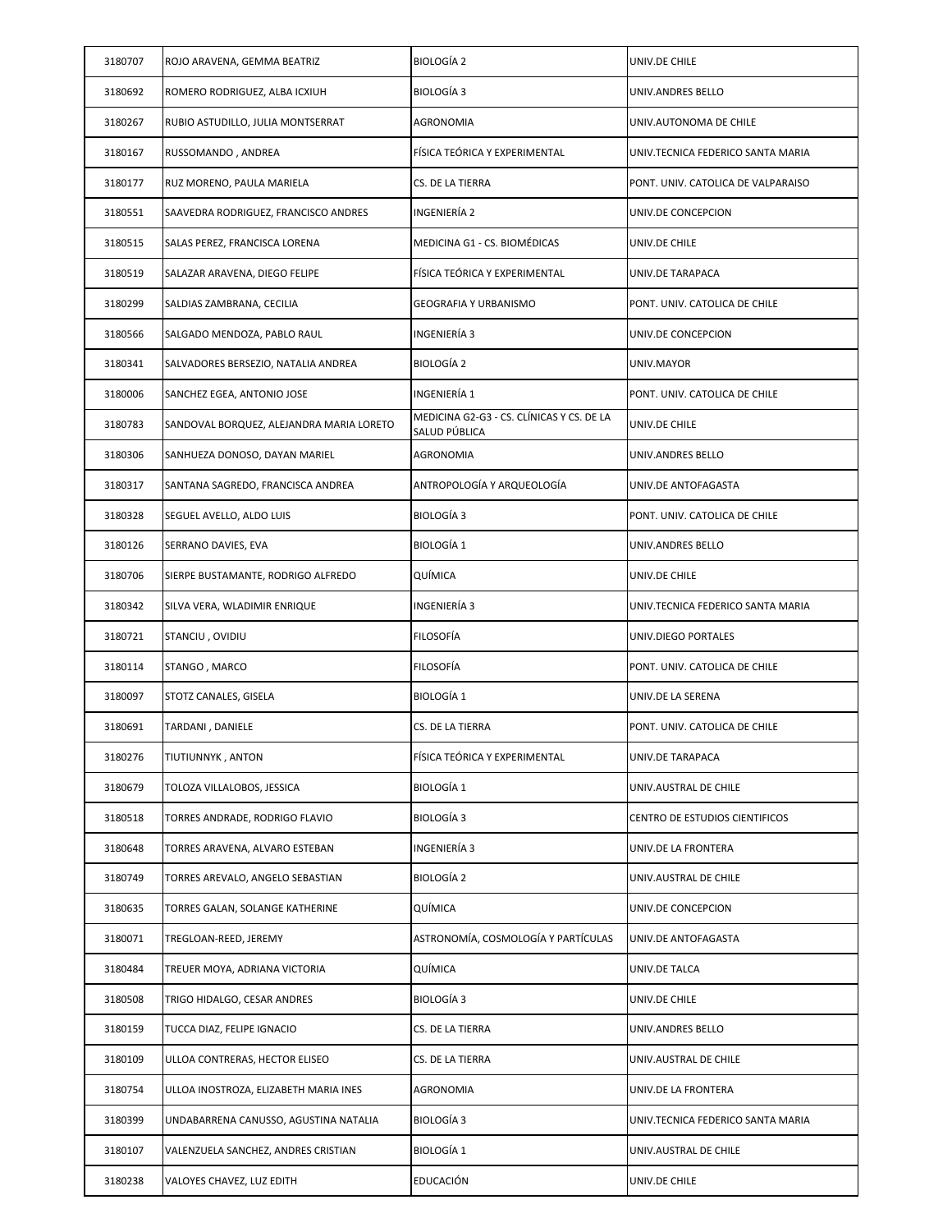| 3180707 | ROJO ARAVENA, GEMMA BEATRIZ              | <b>BIOLOGÍA 2</b>                                          | UNIV.DE CHILE                      |
|---------|------------------------------------------|------------------------------------------------------------|------------------------------------|
| 3180692 | ROMERO RODRIGUEZ, ALBA ICXIUH            | <b>BIOLOGÍA 3</b>                                          | UNIV.ANDRES BELLO                  |
| 3180267 | RUBIO ASTUDILLO, JULIA MONTSERRAT        | AGRONOMIA                                                  | UNIV.AUTONOMA DE CHILE             |
| 3180167 | RUSSOMANDO, ANDREA                       | FÍSICA TEÓRICA Y EXPERIMENTAL                              | UNIV.TECNICA FEDERICO SANTA MARIA  |
| 3180177 | RUZ MORENO, PAULA MARIELA                | CS. DE LA TIERRA                                           | PONT. UNIV. CATOLICA DE VALPARAISO |
| 3180551 | SAAVEDRA RODRIGUEZ, FRANCISCO ANDRES     | INGENIERÍA 2                                               | UNIV.DE CONCEPCION                 |
| 3180515 | SALAS PEREZ, FRANCISCA LORENA            | MEDICINA G1 - CS. BIOMÉDICAS                               | UNIV.DE CHILE                      |
| 3180519 | SALAZAR ARAVENA, DIEGO FELIPE            | FÍSICA TEÓRICA Y EXPERIMENTAL                              | UNIV.DE TARAPACA                   |
| 3180299 | SALDIAS ZAMBRANA, CECILIA                | GEOGRAFIA Y URBANISMO                                      | PONT. UNIV. CATOLICA DE CHILE      |
| 3180566 | SALGADO MENDOZA, PABLO RAUL              | INGENIERÍA 3                                               | UNIV.DE CONCEPCION                 |
| 3180341 | SALVADORES BERSEZIO, NATALIA ANDREA      | BIOLOGÍA 2                                                 | UNIV.MAYOR                         |
| 3180006 | SANCHEZ EGEA, ANTONIO JOSE               | INGENIERÍA 1                                               | PONT. UNIV. CATOLICA DE CHILE      |
| 3180783 | SANDOVAL BORQUEZ, ALEJANDRA MARIA LORETO | MEDICINA G2-G3 - CS. CLÍNICAS Y CS. DE LA<br>SALUD PÚBLICA | UNIV.DE CHILE                      |
| 3180306 | SANHUEZA DONOSO, DAYAN MARIEL            | AGRONOMIA                                                  | UNIV.ANDRES BELLO                  |
| 3180317 | SANTANA SAGREDO, FRANCISCA ANDREA        | ANTROPOLOGÍA Y ARQUEOLOGÍA                                 | UNIV.DE ANTOFAGASTA                |
| 3180328 | SEGUEL AVELLO, ALDO LUIS                 | BIOLOGÍA 3                                                 | PONT. UNIV. CATOLICA DE CHILE      |
| 3180126 | SERRANO DAVIES, EVA                      | <b>BIOLOGÍA 1</b>                                          | UNIV.ANDRES BELLO                  |
| 3180706 | SIERPE BUSTAMANTE, RODRIGO ALFREDO       | QUÍMICA                                                    | UNIV.DE CHILE                      |
| 3180342 | SILVA VERA, WLADIMIR ENRIQUE             | INGENIERÍA 3                                               | UNIV.TECNICA FEDERICO SANTA MARIA  |
| 3180721 | STANCIU, OVIDIU                          | FILOSOFÍA                                                  | UNIV.DIEGO PORTALES                |
| 3180114 | STANGO, MARCO                            | FILOSOFÍA                                                  | PONT. UNIV. CATOLICA DE CHILE      |
| 3180097 | STOTZ CANALES, GISELA                    | <b>BIOLOGÍA 1</b>                                          | UNIV.DE LA SERENA                  |
| 3180691 | TARDANI , DANIELE                        | CS. DE LA TIERRA                                           | PONT. UNIV. CATOLICA DE CHILE      |
| 3180276 | TIUTIUNNYK, ANTON                        | FÍSICA TEÓRICA Y EXPERIMENTAL                              | UNIV.DE TARAPACA                   |
| 3180679 | TOLOZA VILLALOBOS, JESSICA               | BIOLOGÍA 1                                                 | UNIV.AUSTRAL DE CHILE              |
| 3180518 | TORRES ANDRADE, RODRIGO FLAVIO           | BIOLOGÍA 3                                                 | CENTRO DE ESTUDIOS CIENTIFICOS     |
| 3180648 | TORRES ARAVENA, ALVARO ESTEBAN           | INGENIERÍA 3                                               | UNIV.DE LA FRONTERA                |
| 3180749 | TORRES AREVALO, ANGELO SEBASTIAN         | BIOLOGÍA 2                                                 | UNIV.AUSTRAL DE CHILE              |
| 3180635 | TORRES GALAN, SOLANGE KATHERINE          | QUÍMICA                                                    | UNIV.DE CONCEPCION                 |
| 3180071 | TREGLOAN-REED, JEREMY                    | ASTRONOMÍA, COSMOLOGÍA Y PARTÍCULAS                        | UNIV.DE ANTOFAGASTA                |
| 3180484 | TREUER MOYA, ADRIANA VICTORIA            | QUÍMICA                                                    | UNIV.DE TALCA                      |
| 3180508 | TRIGO HIDALGO, CESAR ANDRES              | BIOLOGÍA 3                                                 | UNIV.DE CHILE                      |
| 3180159 | TUCCA DIAZ, FELIPE IGNACIO               | CS. DE LA TIERRA                                           | UNIV.ANDRES BELLO                  |
| 3180109 | ULLOA CONTRERAS, HECTOR ELISEO           | CS. DE LA TIERRA                                           | UNIV.AUSTRAL DE CHILE              |
| 3180754 | ULLOA INOSTROZA, ELIZABETH MARIA INES    | AGRONOMIA                                                  | UNIV.DE LA FRONTERA                |
| 3180399 | UNDABARRENA CANUSSO, AGUSTINA NATALIA    | BIOLOGÍA 3                                                 | UNIV.TECNICA FEDERICO SANTA MARIA  |
| 3180107 | VALENZUELA SANCHEZ, ANDRES CRISTIAN      | BIOLOGÍA 1                                                 | UNIV.AUSTRAL DE CHILE              |
| 3180238 | VALOYES CHAVEZ, LUZ EDITH                | EDUCACIÓN                                                  | UNIV.DE CHILE                      |